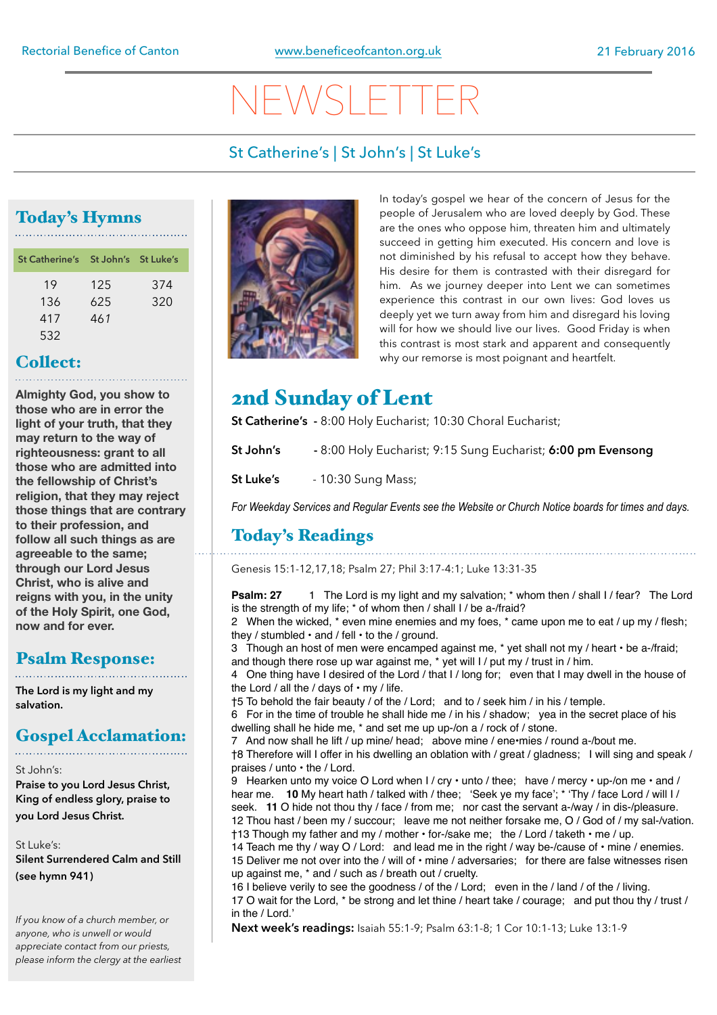# $NEN$

#### St Catherine's | St John's | St Luke's

#### Today's Hymns

| St Catherine's St John's St Luke's |     |     |
|------------------------------------|-----|-----|
| 19                                 | 125 | 374 |
| 136                                | 625 | 320 |
| 417                                | 461 |     |
| 532                                |     |     |

### Collect:

**Almighty God, you show to those who are in error the light of your truth, that they may return to the way of righteousness: grant to all those who are admitted into the fellowship of Christ's religion, that they may reject those things that are contrary to their profession, and follow all such things as are agreeable to the same; through our Lord Jesus Christ, who is alive and reigns with you, in the unity of the Holy Spirit, one God, now and for ever.**

### Psalm Response:

**The Lord is my light and my salvation.** 

### Gospel Acclamation:

St John's:

**Praise to you Lord Jesus Christ, King of endless glory, praise to you Lord Jesus Christ.** 

St Luke's: **Silent Surrendered Calm and Still (see hymn 941)** 

*If you know of a church member, or anyone, who is unwell or would appreciate contact from our priests, please inform the clergy at the earliest* 



In today's gospel we hear of the concern of Jesus for the people of Jerusalem who are loved deeply by God. These are the ones who oppose him, threaten him and ultimately succeed in getting him executed. His concern and love is not diminished by his refusal to accept how they behave. His desire for them is contrasted with their disregard for him. As we journey deeper into Lent we can sometimes experience this contrast in our own lives: God loves us deeply yet we turn away from him and disregard his loving will for how we should live our lives. Good Friday is when this contrast is most stark and apparent and consequently why our remorse is most poignant and heartfelt.

### 2nd Sunday of Lent

**St Catherine's -** 8:00 Holy Eucharist; 10:30 Choral Eucharist;

- **St John's** 8:00 Holy Eucharist; 9:15 Sung Eucharist; **6:00 pm Evensong**
- **St Luke's** 10:30 Sung Mass;

*For Weekday Services and Regular Events see the Website or Church Notice boards for times and days.* 

#### Today's Readings

Genesis 15:1-12,17,18; Psalm 27; Phil 3:17-4:1; Luke 13:31-35

**Psalm: 27** 1 The Lord is my light and my salvation; \* whom then / shall I / fear? The Lord is the strength of my life; \* of whom then / shall I / be a-/fraid?

2 When the wicked,  $*$  even mine enemies and my foes,  $*$  came upon me to eat  $/$  up my  $/$  flesh; they / stumbled • and / fell • to the / ground.

3 Though an host of men were encamped against me, \* yet shall not my / heart • be a-/fraid; and though there rose up war against me, \* yet will I / put my / trust in / him.

4 One thing have I desired of the Lord / that I / long for; even that I may dwell in the house of the Lord / all the / days of  $\cdot$  my / life.

†5 To behold the fair beauty / of the / Lord; and to / seek him / in his / temple.

6 For in the time of trouble he shall hide me / in his / shadow; yea in the secret place of his dwelling shall he hide me, \* and set me up up-/on a / rock of / stone.

7 And now shall he lift / up mine/ head; above mine / ene•mies / round a-/bout me.

†8 Therefore will I offer in his dwelling an oblation with / great / gladness; I will sing and speak / praises / unto • the / Lord.

9 Hearken unto my voice O Lord when  $1 / \text{cry} \cdot \text{unto} / \text{thee}$ ; have / mercy  $\cdot$  up-/on me  $\cdot$  and / hear me. **10** My heart hath / talked with / thee; 'Seek ye my face'; \* 'Thy / face Lord / will I / seek. **11** O hide not thou thy / face / from me; nor cast the servant a-/way / in dis-/pleasure. 12 Thou hast / been my / succour; leave me not neither forsake me, O / God of / my sal-/vation. †13 Though my father and my / mother • for-/sake me; the / Lord / taketh • me / up.

14 Teach me thy / way  $O$  / Lord: and lead me in the right / way be-/cause of  $\cdot$  mine / enemies.

15 Deliver me not over into the / will of  $\cdot$  mine / adversaries; for there are false witnesses risen up against me, \* and / such as / breath out / cruelty.

16 I believe verily to see the goodness / of the / Lord; even in the / land / of the / living. 17 O wait for the Lord, \* be strong and let thine / heart take / courage; and put thou thy / trust / in the / Lord.'

**Next week's readings:** Isaiah 55:1-9; Psalm 63:1-8; 1 Cor 10:1-13; Luke 13:1-9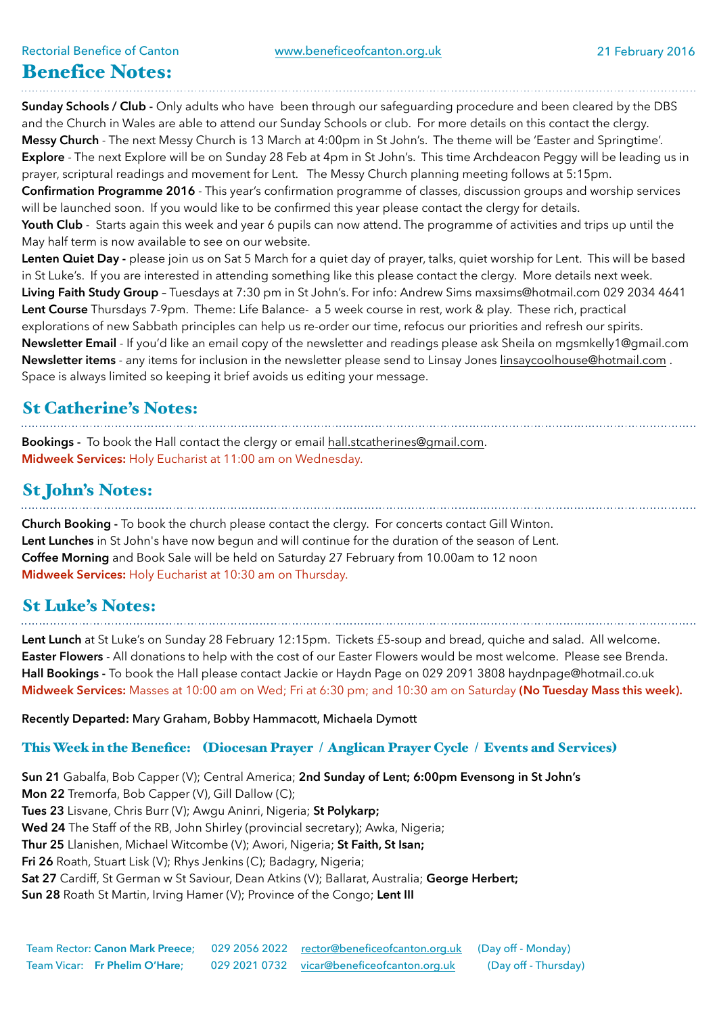### Benefice Notes:

**Sunday Schools / Club -** Only adults who have been through our safeguarding procedure and been cleared by the DBS and the Church in Wales are able to attend our Sunday Schools or club. For more details on this contact the clergy. **Messy Church** - The next Messy Church is 13 March at 4:00pm in St John's. The theme will be 'Easter and Springtime'. **Explore** - The next Explore will be on Sunday 28 Feb at 4pm in St John's. This time Archdeacon Peggy will be leading us in prayer, scriptural readings and movement for Lent. The Messy Church planning meeting follows at 5:15pm. **Confirmation Programme 2016** - This year's confirmation programme of classes, discussion groups and worship services will be launched soon. If you would like to be confirmed this year please contact the clergy for details. **Youth Club** - Starts again this week and year 6 pupils can now attend. The programme of activities and trips up until the May half term is now available to see on our website.

**Lenten Quiet Day -** please join us on Sat 5 March for a quiet day of prayer, talks, quiet worship for Lent. This will be based in St Luke's. If you are interested in attending something like this please contact the clergy. More details next week. **Living Faith Study Group** – Tuesdays at 7:30 pm in St John's. For info: Andrew Sims [maxsims@hotmail.com](mailto:maxsims@hotmail.com) 029 2034 4641 **Lent Course** Thursdays 7-9pm. Theme: Life Balance- a 5 week course in rest, work & play. These rich, practical explorations of new Sabbath principles can help us re-order our time, refocus our priorities and refresh our spirits. **Newsletter Email** - If you'd like an email copy of the newsletter and readings please ask Sheila on [mgsmkelly1@gmail.com](mailto:mgsmkelly1@gmail.com)  **Newsletter items** - any items for inclusion in the newsletter please send to Linsay Jones [linsaycoolhouse@hotmail.com](mailto:linsaycoolhouse@hotmail.com) . Space is always limited so keeping it brief avoids us editing your message.

#### St Catherine's Notes:

**Bookings -** To book the Hall contact the clergy or email [hall.stcatherines@gmail.com.](mailto:hall.stcatherines@gmail.com) **Midweek Services:** Holy Eucharist at 11:00 am on Wednesday.

## St John's Notes:

**Church Booking -** To book the church please contact the clergy. For concerts contact Gill Winton. **Lent Lunches** in St John's have now begun and will continue for the duration of the season of Lent. **Coffee Morning** and Book Sale will be held on Saturday 27 February from 10.00am to 12 noon **Midweek Services:** Holy Eucharist at 10:30 am on Thursday.

#### St Luke's Notes:

**Lent Lunch** at St Luke's on Sunday 28 February 12:15pm. Tickets £5-soup and bread, quiche and salad. All welcome. **Easter Flowers** - All donations to help with the cost of our Easter Flowers would be most welcome. Please see Brenda. **Hall Bookings -** To book the Hall please contact Jackie or Haydn Page on 029 2091 3808 [haydnpage@hotmail.co.uk](mailto:haydnpage@hotmail.co.uk) **Midweek Services:** Masses at 10:00 am on Wed; Fri at 6:30 pm; and 10:30 am on Saturday **(No Tuesday Mass this week).**

**Recently Departed:** Mary Graham, Bobby Hammacott, Michaela Dymott

#### This Week in the Benefice: (Diocesan Prayer / Anglican Prayer Cycle / Events and Services)

**Sun 21** Gabalfa, Bob Capper (V); Central America; **2nd Sunday of Lent; 6:00pm Evensong in St John's Mon 22** Tremorfa, Bob Capper (V), Gill Dallow (C); **Tues 23** Lisvane, Chris Burr (V); Awgu Aninri, Nigeria; **St Polykarp; Wed 24** The Staff of the RB, John Shirley (provincial secretary); Awka, Nigeria; **Thur 25** Llanishen, Michael Witcombe (V); Awori, Nigeria; **St Faith, St Isan; Fri 26** Roath, Stuart Lisk (V); Rhys Jenkins (C); Badagry, Nigeria; **Sat 27** Cardiff, St German w St Saviour, Dean Atkins (V); Ballarat, Australia; **George Herbert; Sun 28** Roath St Martin, Irving Hamer (V); Province of the Congo; **Lent III**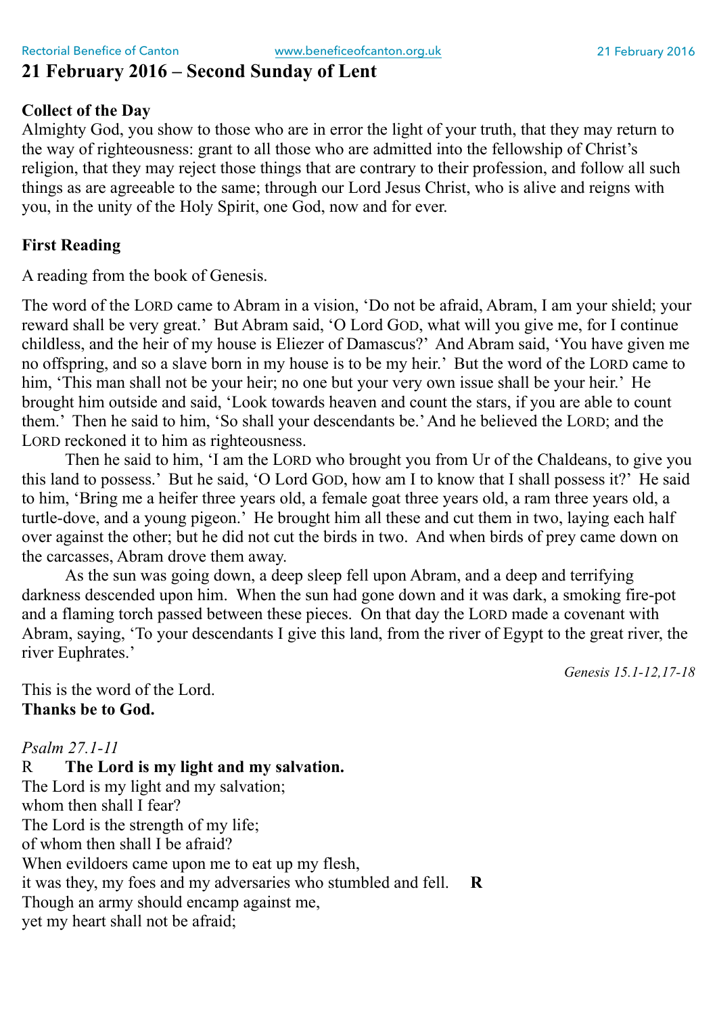#### **21 February 2016 – Second Sunday of Lent**

#### **Collect of the Day**

Almighty God, you show to those who are in error the light of your truth, that they may return to the way of righteousness: grant to all those who are admitted into the fellowship of Christ's religion, that they may reject those things that are contrary to their profession, and follow all such things as are agreeable to the same; through our Lord Jesus Christ, who is alive and reigns with you, in the unity of the Holy Spirit, one God, now and for ever.

#### **First Reading**

A reading from the book of Genesis.

The word of the LORD came to Abram in a vision, 'Do not be afraid, Abram, I am your shield; your reward shall be very great.' But Abram said, 'O Lord GOD, what will you give me, for I continue childless, and the heir of my house is Eliezer of Damascus?' And Abram said, 'You have given me no offspring, and so a slave born in my house is to be my heir.' But the word of the LORD came to him, 'This man shall not be your heir; no one but your very own issue shall be your heir.' He brought him outside and said, 'Look towards heaven and count the stars, if you are able to count them.' Then he said to him, 'So shall your descendants be.' And he believed the LORD; and the LORD reckoned it to him as righteousness.

Then he said to him, 'I am the LORD who brought you from Ur of the Chaldeans, to give you this land to possess.' But he said, 'O Lord GOD, how am I to know that I shall possess it?' He said to him, 'Bring me a heifer three years old, a female goat three years old, a ram three years old, a turtle-dove, and a young pigeon.' He brought him all these and cut them in two, laying each half over against the other; but he did not cut the birds in two. And when birds of prey came down on the carcasses, Abram drove them away.

As the sun was going down, a deep sleep fell upon Abram, and a deep and terrifying darkness descended upon him. When the sun had gone down and it was dark, a smoking fire-pot and a flaming torch passed between these pieces. On that day the LORD made a covenant with Abram, saying, 'To your descendants I give this land, from the river of Egypt to the great river, the river Euphrates.'

*Genesis 15.1-12,17-18* 

This is the word of the Lord. **Thanks be to God.** 

*Psalm 27.1-11*  R **The Lord is my light and my salvation.** The Lord is my light and my salvation; whom then shall I fear? The Lord is the strength of my life; of whom then shall I be afraid? When evildoers came upon me to eat up my flesh, it was they, my foes and my adversaries who stumbled and fell. **R**  Though an army should encamp against me, yet my heart shall not be afraid;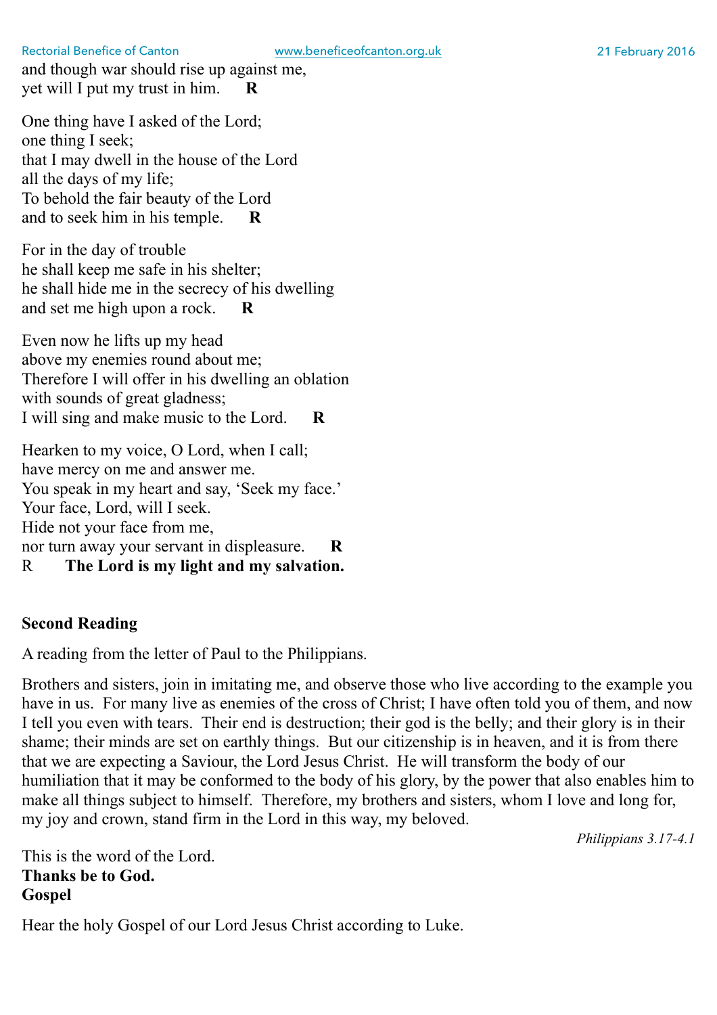and though war should rise up against me, yet will I put my trust in him. **R** 

One thing have I asked of the Lord; one thing I seek; that I may dwell in the house of the Lord all the days of my life; To behold the fair beauty of the Lord and to seek him in his temple. **R** 

For in the day of trouble he shall keep me safe in his shelter; he shall hide me in the secrecy of his dwelling and set me high upon a rock. **R** 

Even now he lifts up my head above my enemies round about me; Therefore I will offer in his dwelling an oblation with sounds of great gladness; I will sing and make music to the Lord. **R** 

Hearken to my voice, O Lord, when I call; have mercy on me and answer me. You speak in my heart and say, 'Seek my face.' Your face, Lord, will I seek. Hide not your face from me, nor turn away your servant in displeasure. **R**  R **The Lord is my light and my salvation.**

#### **Second Reading**

A reading from the letter of Paul to the Philippians.

Brothers and sisters, join in imitating me, and observe those who live according to the example you have in us. For many live as enemies of the cross of Christ; I have often told you of them, and now I tell you even with tears. Their end is destruction; their god is the belly; and their glory is in their shame; their minds are set on earthly things. But our citizenship is in heaven, and it is from there that we are expecting a Saviour, the Lord Jesus Christ. He will transform the body of our humiliation that it may be conformed to the body of his glory, by the power that also enables him to make all things subject to himself. Therefore, my brothers and sisters, whom I love and long for, my joy and crown, stand firm in the Lord in this way, my beloved.

*Philippians 3.17-4.1* 

This is the word of the Lord. **Thanks be to God. Gospel** 

Hear the holy Gospel of our Lord Jesus Christ according to Luke.